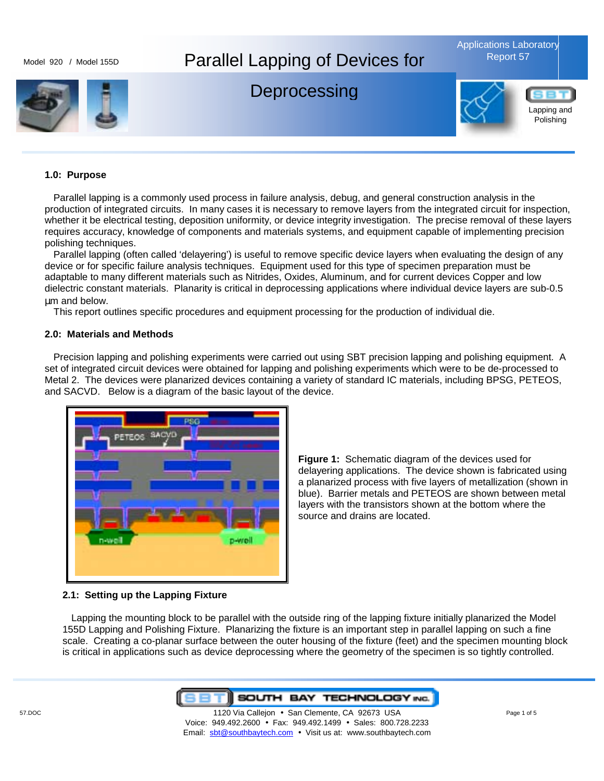

### **1.0: Purpose**

Parallel lapping is a commonly used process in failure analysis, debug, and general construction analysis in the production of integrated circuits. In many cases it is necessary to remove layers from the integrated circuit for inspection, whether it be electrical testing, deposition uniformity, or device integrity investigation. The precise removal of these layers requires accuracy, knowledge of components and materials systems, and equipment capable of implementing precision polishing techniques.

Parallel lapping (often called 'delayering') is useful to remove specific device layers when evaluating the design of any device or for specific failure analysis techniques. Equipment used for this type of specimen preparation must be adaptable to many different materials such as Nitrides, Oxides, Aluminum, and for current devices Copper and low dielectric constant materials. Planarity is critical in deprocessing applications where individual device layers are sub-0.5 µm and below.

This report outlines specific procedures and equipment processing for the production of individual die.

#### **2.0: Materials and Methods**

Precision lapping and polishing experiments were carried out using SBT precision lapping and polishing equipment. A set of integrated circuit devices were obtained for lapping and polishing experiments which were to be de-processed to Metal 2. The devices were planarized devices containing a variety of standard IC materials, including BPSG, PETEOS, and SACVD. Below is a diagram of the basic layout of the device.



**Figure 1:** Schematic diagram of the devices used for delayering applications. The device shown is fabricated using a planarized process with five layers of metallization (shown in blue). Barrier metals and PETEOS are shown between metal layers with the transistors shown at the bottom where the source and drains are located.

#### **2.1: Setting up the Lapping Fixture**

Lapping the mounting block to be parallel with the outside ring of the lapping fixture initially planarized the Model 155D Lapping and Polishing Fixture. Planarizing the fixture is an important step in parallel lapping on such a fine scale. Creating a co-planar surface between the outer housing of the fixture (feet) and the specimen mounting block is critical in applications such as device deprocessing where the geometry of the specimen is so tightly controlled.

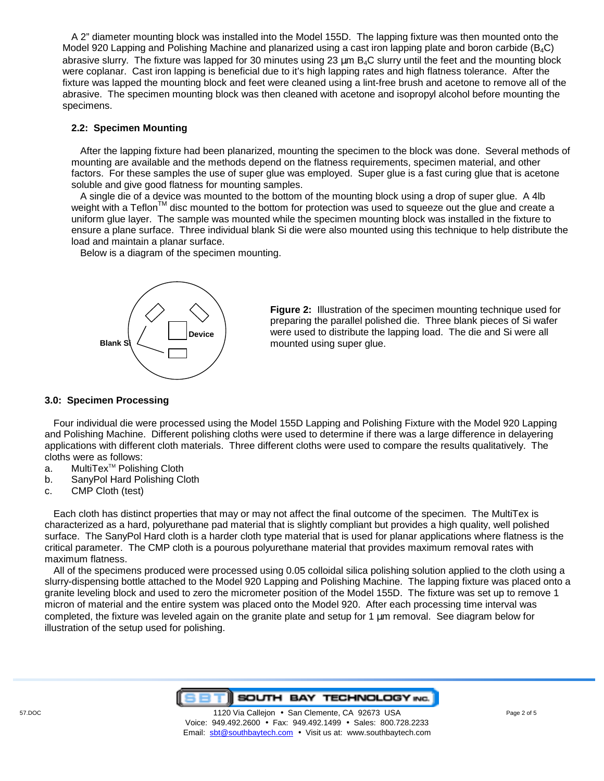A 2" diameter mounting block was installed into the Model 155D. The lapping fixture was then mounted onto the Model 920 Lapping and Polishing Machine and planarized using a cast iron lapping plate and boron carbide (B<sub>4</sub>C) abrasive slurry. The fixture was lapped for 30 minutes using  $23 \mu m$  B<sub>4</sub>C slurry until the feet and the mounting block were coplanar. Cast iron lapping is beneficial due to it's high lapping rates and high flatness tolerance. After the fixture was lapped the mounting block and feet were cleaned using a lint-free brush and acetone to remove all of the abrasive. The specimen mounting block was then cleaned with acetone and isopropyl alcohol before mounting the specimens.

### **2.2: Specimen Mounting**

After the lapping fixture had been planarized, mounting the specimen to the block was done. Several methods of mounting are available and the methods depend on the flatness requirements, specimen material, and other factors. For these samples the use of super glue was employed. Super glue is a fast curing glue that is acetone soluble and give good flatness for mounting samples.

A single die of a device was mounted to the bottom of the mounting block using a drop of super glue. A 4lb weight with a Teflon<sup>TM</sup> disc mounted to the bottom for protection was used to squeeze out the glue and create a uniform glue layer. The sample was mounted while the specimen mounting block was installed in the fixture to ensure a plane surface. Three individual blank Si die were also mounted using this technique to help distribute the load and maintain a planar surface.

Below is a diagram of the specimen mounting.



**Figure 2:** Illustration of the specimen mounting technique used for preparing the parallel polished die. Three blank pieces of Si wafer were used to distribute the lapping load. The die and Si were all mounted using super glue.

# **3.0: Specimen Processing**

Four individual die were processed using the Model 155D Lapping and Polishing Fixture with the Model 920 Lapping and Polishing Machine. Different polishing cloths were used to determine if there was a large difference in delayering applications with different cloth materials. Three different cloths were used to compare the results qualitatively. The cloths were as follows:

- a. MultiTex<sup>™</sup> Polishing Cloth
- b. SanyPol Hard Polishing Cloth
- c. CMP Cloth (test)

Each cloth has distinct properties that may or may not affect the final outcome of the specimen. The MultiTex is characterized as a hard, polyurethane pad material that is slightly compliant but provides a high quality, well polished surface. The SanyPol Hard cloth is a harder cloth type material that is used for planar applications where flatness is the critical parameter. The CMP cloth is a pourous polyurethane material that provides maximum removal rates with maximum flatness.

All of the specimens produced were processed using 0.05 colloidal silica polishing solution applied to the cloth using a slurry-dispensing bottle attached to the Model 920 Lapping and Polishing Machine. The lapping fixture was placed onto a granite leveling block and used to zero the micrometer position of the Model 155D. The fixture was set up to remove 1 micron of material and the entire system was placed onto the Model 920. After each processing time interval was completed, the fixture was leveled again on the granite plate and setup for 1 um removal. See diagram below for illustration of the setup used for polishing.

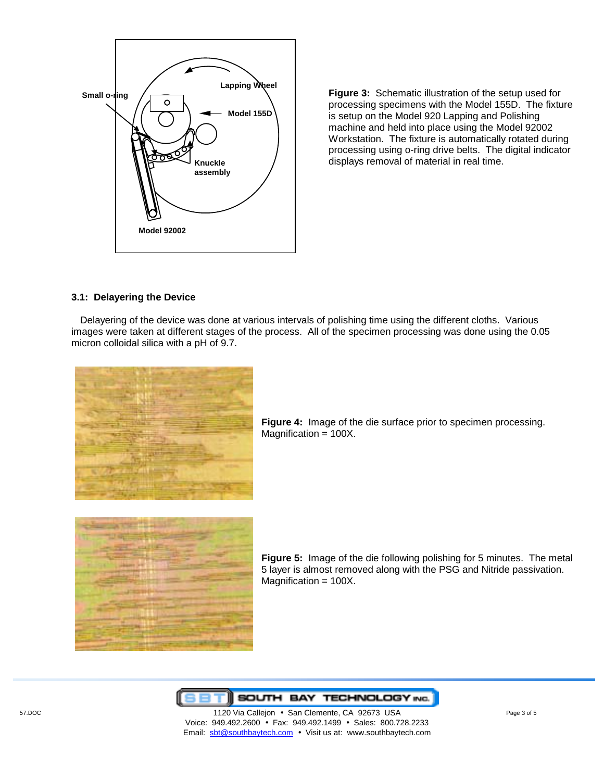

**Figure 3:** Schematic illustration of the setup used for processing specimens with the Model 155D. The fixture is setup on the Model 920 Lapping and Polishing machine and held into place using the Model 92002 Workstation. The fixture is automatically rotated during processing using o-ring drive belts. The digital indicator displays removal of material in real time.

# **3.1: Delayering the Device**

Delayering of the device was done at various intervals of polishing time using the different cloths. Various images were taken at different stages of the process. All of the specimen processing was done using the 0.05 micron colloidal silica with a pH of 9.7.



**Figure 4:** Image of the die surface prior to specimen processing. Magnification = 100X.



**Figure 5:** Image of the die following polishing for 5 minutes. The metal 5 layer is almost removed along with the PSG and Nitride passivation. Magnification = 100X.



 57.DOC 1120 Via Callejon • San Clemente, CA 92673 USA Page 3 of 5 Voice: 949.492.2600 • Fax: 949.492.1499 • Sales: 800.728.2233 Email: sbt@southbaytech.com • Visit us at: www.southbaytech.com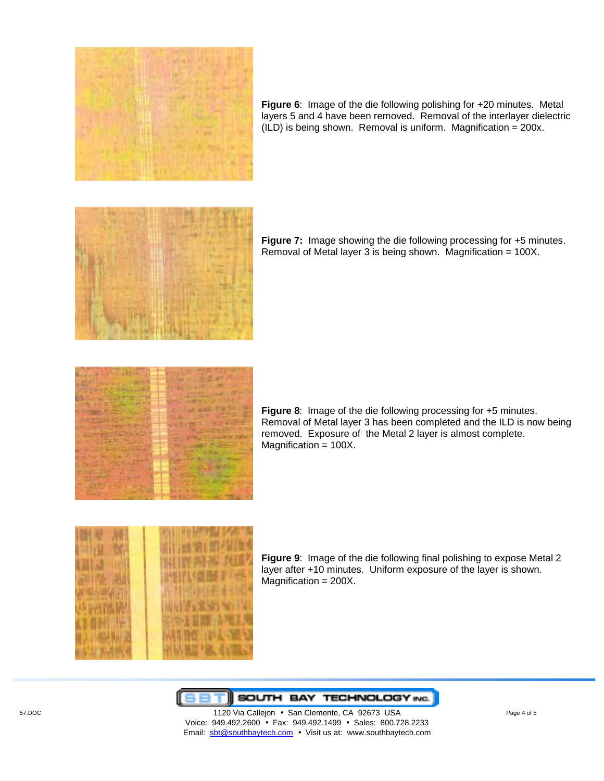

**Figure 6**: Image of the die following polishing for +20 minutes. Metal layers 5 and 4 have been removed. Removal of the interlayer dielectric  $(ILD)$  is being shown. Removal is uniform. Magnification = 200x.



**Figure 7:** Image showing the die following processing for +5 minutes. Removal of Metal layer 3 is being shown. Magnification = 100X.



**Figure 8**: Image of the die following processing for +5 minutes. Removal of Metal layer 3 has been completed and the ILD is now being removed. Exposure of the Metal 2 layer is almost complete. Magnification = 100X.



**Figure 9**: Image of the die following final polishing to expose Metal 2 layer after +10 minutes. Uniform exposure of the layer is shown. Magnification = 200X.



 57.DOC 1120 Via Callejon • San Clemente, CA 92673 USA Page 4 of 5 Voice: 949.492.2600 • Fax: 949.492.1499 • Sales: 800.728.2233 Email: sbt@southbaytech.com • Visit us at: www.southbaytech.com